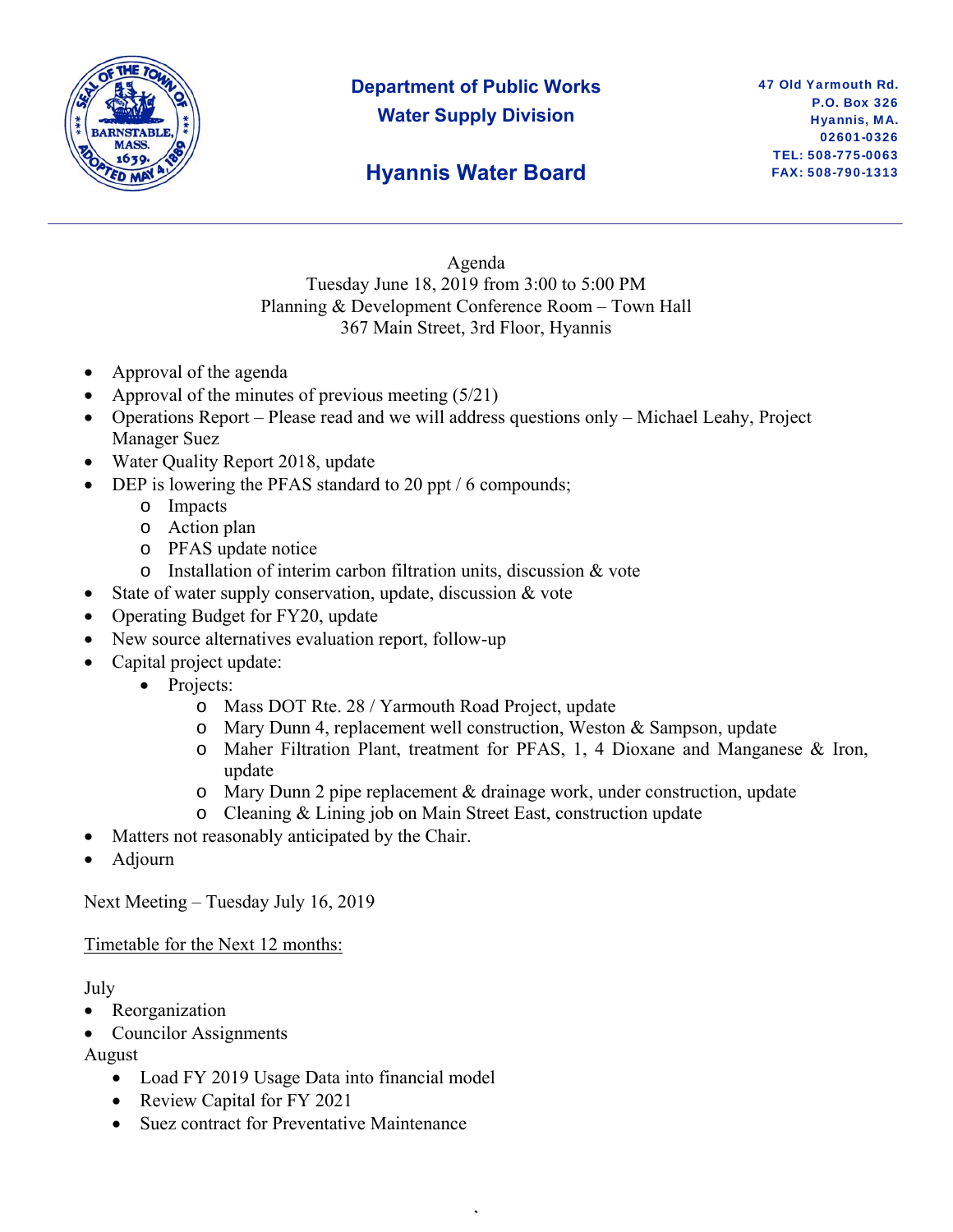

# **Department of Public Works Water Supply Division**

### **Hyannis Water Board**

Agenda Tuesday June 18, 2019 from 3:00 to 5:00 PM Planning & Development Conference Room – Town Hall 367 Main Street, 3rd Floor, Hyannis

- Approval of the agenda
- Approval of the minutes of previous meeting (5/21)
- Operations Report Please read and we will address questions only Michael Leahy, Project Manager Suez
- Water Quality Report 2018, update
- DEP is lowering the PFAS standard to 20 ppt / 6 compounds;
	- o Impacts
	- o Action plan
	- o PFAS update notice
	- o Installation of interim carbon filtration units, discussion & vote
- State of water supply conservation, update, discussion & vote
- Operating Budget for FY20, update
- New source alternatives evaluation report, follow-up
	- Capital project update:
		- Projects:
			- o Mass DOT Rte. 28 / Yarmouth Road Project, update
			- o Mary Dunn 4, replacement well construction, Weston & Sampson, update
			- o Maher Filtration Plant, treatment for PFAS, 1, 4 Dioxane and Manganese & Iron, update
			- o Mary Dunn 2 pipe replacement & drainage work, under construction, update
			- o Cleaning & Lining job on Main Street East, construction update

,

- Matters not reasonably anticipated by the Chair.
- Adjourn

Next Meeting – Tuesday July 16, 2019

Timetable for the Next 12 months:

July

- Reorganization
- Councilor Assignments

#### August

- Load FY 2019 Usage Data into financial model
- Review Capital for FY 2021
- Suez contract for Preventative Maintenance